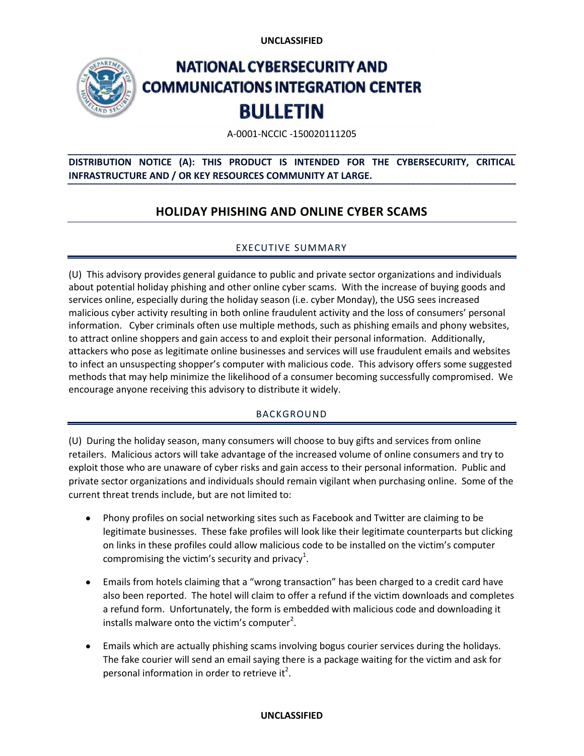**UNCLASSIFIED** 



# **NATIONAL CYBERSECURITY AND COMMUNICATIONS INTEGRATION CENTER BULLETIN**

A-0001-NCCIC -150020111205

## **DISTRIBUTION NOTICE (A): THIS PRODUCT IS INTENDED FOR THE CYBERSECURITY, CRITICAL INFRASTRUCTURE AND / OR KEY RESOURCES COMMUNITY AT LARGE.**

# **HOLIDAY PHISHING AND ONLINE CYBER SCAMS**

### EXECUTIVE SUMMARY

(U) This advisory provides general guidance to public and private sector organizations and individuals about potential holiday phishing and other online cyber scams. With the increase of buying goods and services online, especially during the holiday season (i.e. cyber Monday), the USG sees increased malicious cyber activity resulting in both online fraudulent activity and the loss of consumers' personal information. Cyber criminals often use multiple methods, such as phishing emails and phony websites, to attract online shoppers and gain access to and exploit their personal information. Additionally, attackers who pose as legitimate online businesses and services will use fraudulent emails and websites to infect an unsuspecting shopper's computer with malicious code. This advisory offers some suggested methods that may help minimize the likelihood of a consumer becoming successfully compromised. We encourage anyone receiving this advisory to distribute it widely.

#### BACKGROUND

(U) During the holiday season, many consumers will choose to buy gifts and services from online retailers. Malicious actors will take advantage of the increased volume of online consumers and try to exploit those who are unaware of cyber risks and gain access to their personal information. Public and private sector organizations and individuals should remain vigilant when purchasing online. Some of the current threat trends include, but are not limited to:

- Phony profiles on social networking sites such as Facebook and Twitter are claiming to be legitimate businesses. These fake profiles will look like their legitimate counterparts but clicking on links in these profiles could allow malicious code to be installed on the victim's computer compromising the victim's security and privacy<sup>1</sup>.
- Emails from hotels claiming that a "wrong transaction" has been charged to a credit card have also been reported. The hotel will claim to offer a refund if the victim downloads and completes a refund form. Unfortunately, the form is embedded with malicious code and downloading it installs malware onto the victim's computer<sup>2</sup>.
- Emails which are actually phishing scams involving bogus courier services during the holidays. The fake courier will send an email saying there is a package waiting for the victim and ask for personal information in order to retrieve it<sup>2</sup>.

#### **UNCLASSIFIED**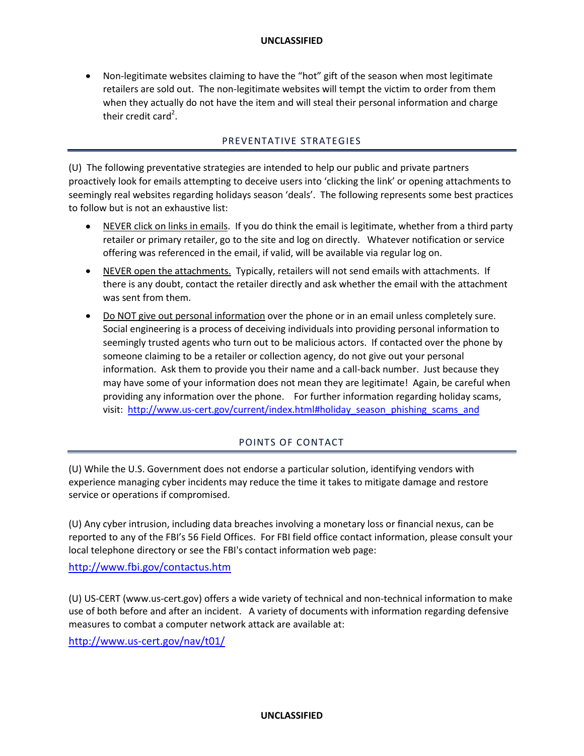Non-legitimate websites claiming to have the "hot" gift of the season when most legitimate retailers are sold out. The non-legitimate websites will tempt the victim to order from them when they actually do not have the item and will steal their personal information and charge their credit card<sup>2</sup>.

#### PREVENTATIVE STRATEGIES

(U) The following preventative strategies are intended to help our public and private partners proactively look for emails attempting to deceive users into 'clicking the link' or opening attachments to seemingly real websites regarding holidays season 'deals'. The following represents some best practices to follow but is not an exhaustive list:

- NEVER click on links in emails. If you do think the email is legitimate, whether from a third party  $\bullet$ retailer or primary retailer, go to the site and log on directly. Whatever notification or service offering was referenced in the email, if valid, will be available via regular log on.
- NEVER open the attachments. Typically, retailers will not send emails with attachments. If there is any doubt, contact the retailer directly and ask whether the email with the attachment was sent from them.
- Do NOT give out personal information over the phone or in an email unless completely sure. Social engineering is a process of deceiving individuals into providing personal information to seemingly trusted agents who turn out to be malicious actors. If contacted over the phone by someone claiming to be a retailer or collection agency, do not give out your personal information. Ask them to provide you their name and a call-back number. Just because they may have some of your information does not mean they are legitimate! Again, be careful when providing any information over the phone. For further information regarding holiday scams, visit: [http://www.us-cert.gov/current/index.html#holiday\\_season\\_phishing\\_scams\\_and](http://www.us-cert.gov/current/index.html#holiday_season_phishing_scams_and)

#### POINTS OF CONTACT

(U) While the U.S. Government does not endorse a particular solution, identifying vendors with experience managing cyber incidents may reduce the time it takes to mitigate damage and restore service or operations if compromised.

(U) Any cyber intrusion, including data breaches involving a monetary loss or financial nexus, can be reported to any of the FBI's 56 Field Offices. For FBI field office contact information, please consult your local telephone directory or see the FBI's contact information web page:

<http://www.fbi.gov/contactus.htm>

(U) US-CERT (www.us-cert.gov) offers a wide variety of technical and non-technical information to make use of both before and after an incident. A variety of documents with information regarding defensive measures to combat a computer network attack are available at:

<http://www.us-cert.gov/nav/t01/>